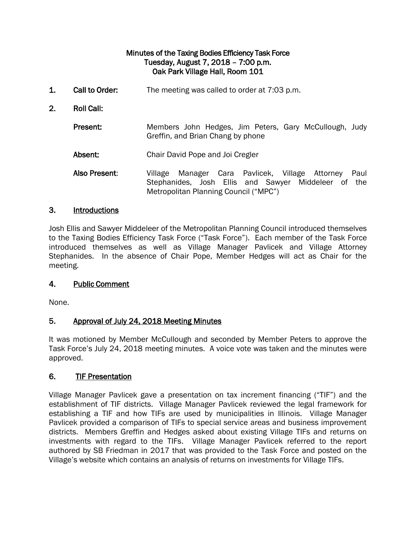### Minutes of the Taxing Bodies Efficiency Task Force Tuesday, August 7, 2018 – 7:00 p.m. Oak Park Village Hall, Room 101

- 1. Call to Order: The meeting was called to order at 7:03 p.m.
- 2. Roll Call:

Present: Members John Hedges, Jim Peters, Gary McCullough, Judy Greffin, and Brian Chang by phone

- Absent: Chair David Pope and Joi Cregler
- Also Present: Village Manager Cara Pavlicek, Village Attorney Paul Stephanides, Josh Ellis and Sawyer Middeleer of the Metropolitan Planning Council ("MPC")

#### 3. Introductions

Josh Ellis and Sawyer Middeleer of the Metropolitan Planning Council introduced themselves to the Taxing Bodies Efficiency Task Force ("Task Force"). Each member of the Task Force introduced themselves as well as Village Manager Pavlicek and Village Attorney Stephanides. In the absence of Chair Pope, Member Hedges will act as Chair for the meeting.

### 4. Public Comment

None.

### 5. Approval of July 24, 2018 Meeting Minutes

It was motioned by Member McCullough and seconded by Member Peters to approve the Task Force's July 24, 2018 meeting minutes. A voice vote was taken and the minutes were approved.

### 6. TIF Presentation

Village Manager Pavlicek gave a presentation on tax increment financing ("TIF") and the establishment of TIF districts. Village Manager Pavlicek reviewed the legal framework for establishing a TIF and how TIFs are used by municipalities in Illinois. Village Manager Pavlicek provided a comparison of TIFs to special service areas and business improvement districts. Members Greffin and Hedges asked about existing Village TIFs and returns on investments with regard to the TIFs. Village Manager Pavlicek referred to the report authored by SB Friedman in 2017 that was provided to the Task Force and posted on the Village's website which contains an analysis of returns on investments for Village TIFs.